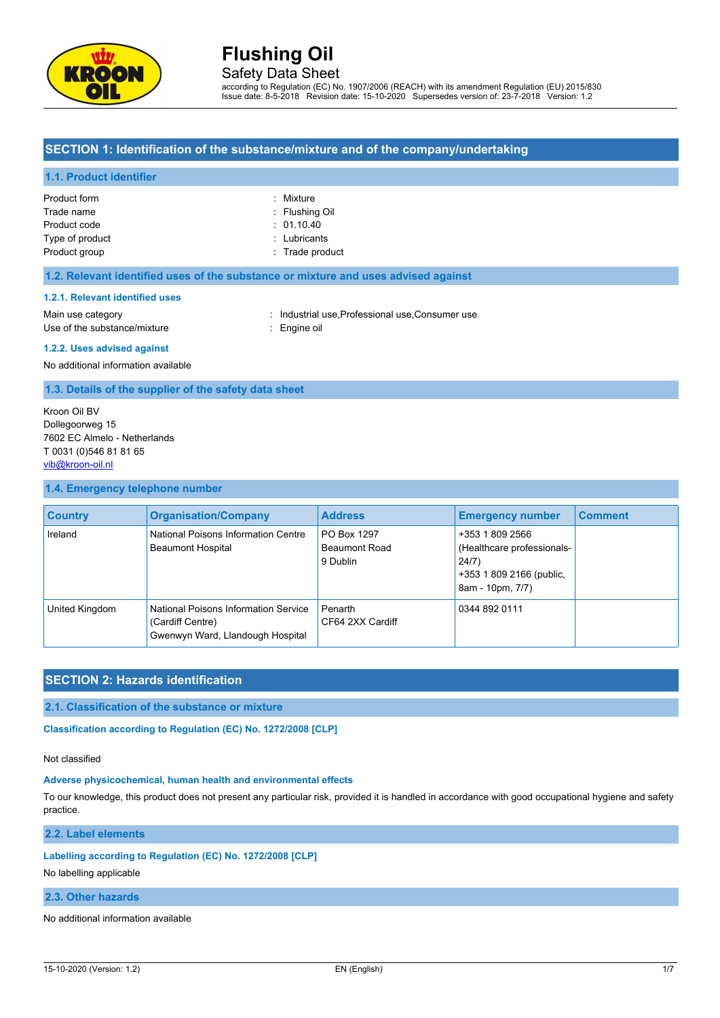

# Safety Data Sheet

according to Regulation (EC) No. 1907/2006 (REACH) with its amendment Regulation (EU) 2015/830 Issue date: 8-5-2018 Revision date: 15-10-2020 Supersedes version of: 23-7-2018 Version: 1.2

### **SECTION 1: Identification of the substance/mixture and of the company/undertaking**

#### **1.1. Product identifier**

| Product form    | : Mixture       |
|-----------------|-----------------|
|                 |                 |
| Trade name      | : Flushing Oil  |
| Product code    | : 01.10.40      |
| Type of product | : Lubricants    |
| Product group   | : Trade product |
|                 |                 |

#### **1.2. Relevant identified uses of the substance or mixture and uses advised against**

#### **1.2.1. Relevant identified uses**

Main use category **industrial use, Professional use, Consumer use** in Main use category Use of the substance/mixture **in the substance** in the set of the substance in the set of the substance in the set of the set of the set of the set of the set of the set of the set of the set of the set of the set of the s

#### **1.2.2. Uses advised against**

No additional information available

#### **1.3. Details of the supplier of the safety data sheet**

Kroon Oil BV Dollegoorweg 15 7602 EC Almelo - Netherlands T 0031 (0)546 81 81 65 [vib@kroon-oil.nl](mailto:vib@kroon-oil.nl)

#### **1.4. Emergency telephone number**

| <b>Country</b> | <b>Organisation/Company</b>                                                                         | <b>Address</b>                                  | <b>Emergency number</b>                                                                                | <b>Comment</b> |
|----------------|-----------------------------------------------------------------------------------------------------|-------------------------------------------------|--------------------------------------------------------------------------------------------------------|----------------|
| Ireland        | National Poisons Information Centre<br><b>Beaumont Hospital</b>                                     | PO Box 1297<br><b>Beaumont Road</b><br>9 Dublin | +353 1 809 2566<br>(Healthcare professionals-<br>24/7)<br>+353 1 809 2166 (public,<br>8am - 10pm, 7/7) |                |
| United Kingdom | <b>National Poisons Information Service</b><br>(Cardiff Centre)<br>Gwenwyn Ward, Llandough Hospital | Penarth<br>CF64 2XX Cardiff                     | 0344 892 0111                                                                                          |                |

## **SECTION 2: Hazards identification**

### **2.1. Classification of the substance or mixture**

**Classification according to Regulation (EC) No. 1272/2008 [CLP]** 

#### Not classified

#### **Adverse physicochemical, human health and environmental effects**

To our knowledge, this product does not present any particular risk, provided it is handled in accordance with good occupational hygiene and safety practice.

**2.2. Label elements**

### **Labelling according to Regulation (EC) No. 1272/2008 [CLP]**

No labelling applicable

### **2.3. Other hazards**

No additional information available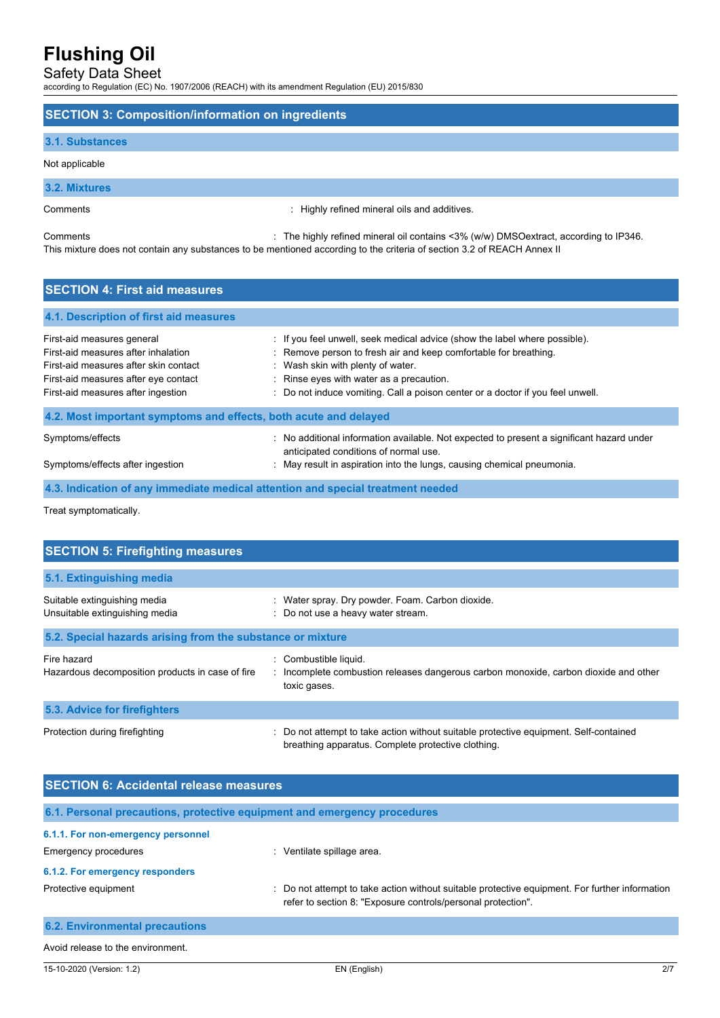Safety Data Sheet

according to Regulation (EC) No. 1907/2006 (REACH) with its amendment Regulation (EU) 2015/830

### **SECTION 3: Composition/information on ingredients**

#### **3.1. Substances**

Not applicable

### **3.2. Mixtures**

Comments : Highly refined mineral oils and additives.

Comments : The highly refined mineral oil contains <3% (w/w) DMSOextract, according to IP346. This mixture does not contain any substances to be mentioned according to the criteria of section 3.2 of REACH Annex II

# **SECTION 4: First aid measures 4.1. Description of first aid measures** First-aid measures general intereduced in the label where possible). First-aid measures general intereduced in the label where possible). First-aid measures after inhalation : Remove person to fresh air and keep comfortable for breathing. First-aid measures after skin contact : Wash skin with plenty of water. First-aid measures after eye contact : Rinse eyes with water as a precaution. First-aid measures after ingestion : Do not induce vomiting. Call a poison center or a doctor if you feel unwell. **4.2. Most important symptoms and effects, both acute and delayed** Symptoms/effects : No additional information available. Not expected to present a significant hazard under anticipated conditions of normal use. Symptoms/effects after ingestion : May result in aspiration into the lungs, causing chemical pneumonia.

**4.3. Indication of any immediate medical attention and special treatment needed**

Treat symptomatically.

| <b>SECTION 5: Firefighting measures</b>                         |                                                                                                                                           |
|-----------------------------------------------------------------|-------------------------------------------------------------------------------------------------------------------------------------------|
| 5.1. Extinguishing media                                        |                                                                                                                                           |
| Suitable extinguishing media<br>Unsuitable extinguishing media  | : Water spray. Dry powder. Foam. Carbon dioxide.<br>Do not use a heavy water stream.                                                      |
| 5.2. Special hazards arising from the substance or mixture      |                                                                                                                                           |
| Fire hazard<br>Hazardous decomposition products in case of fire | Combustible liquid.<br>: Incomplete combustion releases dangerous carbon monoxide, carbon dioxide and other<br>toxic gases.               |
| 5.3. Advice for firefighters                                    |                                                                                                                                           |
| Protection during firefighting                                  | Do not attempt to take action without suitable protective equipment. Self-contained<br>breathing apparatus. Complete protective clothing. |

| <b>SECTION 6: Accidental release measures</b>                            |                                                                                                                                                                |  |  |  |
|--------------------------------------------------------------------------|----------------------------------------------------------------------------------------------------------------------------------------------------------------|--|--|--|
| 6.1. Personal precautions, protective equipment and emergency procedures |                                                                                                                                                                |  |  |  |
| 6.1.1. For non-emergency personnel                                       |                                                                                                                                                                |  |  |  |
| Emergency procedures                                                     | Ventilate spillage area.<br>÷.                                                                                                                                 |  |  |  |
| 6.1.2. For emergency responders                                          |                                                                                                                                                                |  |  |  |
| Protective equipment                                                     | : Do not attempt to take action without suitable protective equipment. For further information<br>refer to section 8: "Exposure controls/personal protection". |  |  |  |
| <b>6.2. Environmental precautions</b>                                    |                                                                                                                                                                |  |  |  |
| Avoid release to the environment.                                        |                                                                                                                                                                |  |  |  |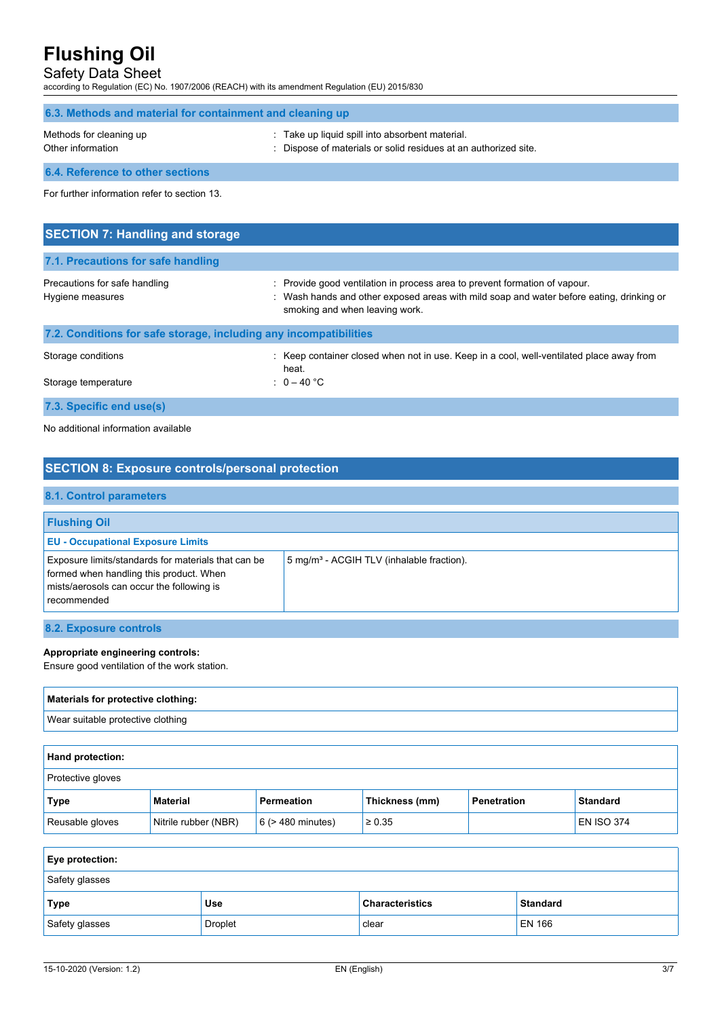## Safety Data Sheet

according to Regulation (EC) No. 1907/2006 (REACH) with its amendment Regulation (EU) 2015/830

| 6.3. Methods and material for containment and cleaning up         |                                                                                                                                                                                                      |  |  |  |
|-------------------------------------------------------------------|------------------------------------------------------------------------------------------------------------------------------------------------------------------------------------------------------|--|--|--|
| Methods for cleaning up<br>Other information                      | Take up liquid spill into absorbent material.<br>Dispose of materials or solid residues at an authorized site.                                                                                       |  |  |  |
| 6.4. Reference to other sections                                  |                                                                                                                                                                                                      |  |  |  |
| For further information refer to section 13.                      |                                                                                                                                                                                                      |  |  |  |
|                                                                   |                                                                                                                                                                                                      |  |  |  |
| <b>SECTION 7: Handling and storage</b>                            |                                                                                                                                                                                                      |  |  |  |
| 7.1. Precautions for safe handling                                |                                                                                                                                                                                                      |  |  |  |
| Precautions for safe handling<br>Hygiene measures                 | Provide good ventilation in process area to prevent formation of vapour.<br>Wash hands and other exposed areas with mild soap and water before eating, drinking or<br>smoking and when leaving work. |  |  |  |
| 7.2. Conditions for safe storage, including any incompatibilities |                                                                                                                                                                                                      |  |  |  |

| Storage conditions<br>Storage temperature | : Keep container closed when not in use. Keep in a cool, well-ventilated place away from<br>heat.<br>$0 - 40$ °C |
|-------------------------------------------|------------------------------------------------------------------------------------------------------------------|
| 7.3. Specific end use(s)                  |                                                                                                                  |

No additional information available

| <b>SECTION 8: Exposure controls/personal protection</b>                                                                                                    |                                                       |  |  |
|------------------------------------------------------------------------------------------------------------------------------------------------------------|-------------------------------------------------------|--|--|
| 8.1. Control parameters                                                                                                                                    |                                                       |  |  |
| <b>Flushing Oil</b>                                                                                                                                        |                                                       |  |  |
| <b>EU - Occupational Exposure Limits</b>                                                                                                                   |                                                       |  |  |
| Exposure limits/standards for materials that can be<br>formed when handling this product. When<br>mists/aerosols can occur the following is<br>recommended | 5 mg/m <sup>3</sup> - ACGIH TLV (inhalable fraction). |  |  |
| 8.2. Exposure controls                                                                                                                                     |                                                       |  |  |

## **Appropriate engineering controls:**

Ensure good ventilation of the work station.

| Materials for protective clothing: |
|------------------------------------|
| Wear suitable protective clothing  |
|                                    |

| <b>Hand protection:</b> |                      |                        |                |             |                 |
|-------------------------|----------------------|------------------------|----------------|-------------|-----------------|
| Protective gloves       |                      |                        |                |             |                 |
| Type                    | <b>Material</b>      | Permeation             | Thickness (mm) | Penetration | <b>Standard</b> |
| Reusable gloves         | Nitrile rubber (NBR) | $6$ ( $>$ 480 minutes) | $\ge 0.35$     |             | $EN$ ISO 374    |

| <b>Eye protection:</b> |            |                        |                 |
|------------------------|------------|------------------------|-----------------|
| Safety glasses         |            |                        |                 |
| <b>Type</b>            | <b>Use</b> | <b>Characteristics</b> | <b>Standard</b> |
| Safety glasses         | Droplet    | clear                  | <b>EN 166</b>   |

f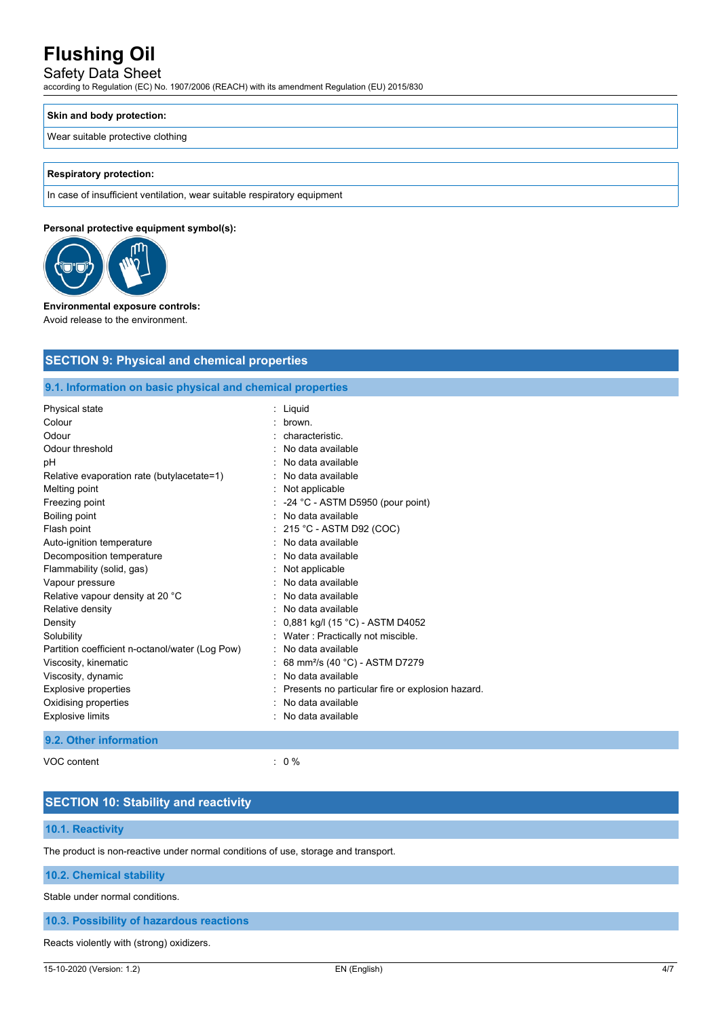# Safety Data Sheet

according to Regulation (EC) No. 1907/2006 (REACH) with its amendment Regulation (EU) 2015/830

#### **Skin and body protection:**

#### Wear suitable protective clothing

#### **Respiratory protection:**

In case of insufficient ventilation, wear suitable respiratory equipment

#### **Personal protective equipment symbol(s):**



#### **Environmental exposure controls:**

Avoid release to the environment.

# **SECTION 9: Physical and chemical properties 9.1. Information on basic physical and chemical properties** Physical state : Liquid Colour : brown. Odour : characteristic. Odour threshold **in the contract of the contract of the contract of the contract of the contract of the contract of the contract of the contract of the contract of the contract of the contract of the contract of the contra** pH : No data available Relative evaporation rate (butylacetate=1) : No data available

| Melting point                                   | $:$ Not applicable                                 |
|-------------------------------------------------|----------------------------------------------------|
| Freezing point                                  | $\therefore$ -24 °C - ASTM D5950 (pour point)      |
| Boiling point                                   | : No data available                                |
| Flash point                                     | $: 215 °C$ - ASTM D92 (COC)                        |
| Auto-ignition temperature                       | : No data available                                |
| Decomposition temperature                       | : No data available                                |
| Flammability (solid, gas)                       | $:$ Not applicable                                 |
| Vapour pressure                                 | $:$ No data available                              |
| Relative vapour density at 20 °C                | : No data available                                |
| Relative density                                | : No data available                                |
| Density                                         | : $0,881$ kg/l (15 °C) - ASTM D4052                |
| Solubility                                      | : Water: Practically not miscible.                 |
| Partition coefficient n-octanol/water (Log Pow) | : No data available                                |
| Viscosity, kinematic                            | : 68 mm <sup>2</sup> /s (40 °C) - ASTM D7279       |
| Viscosity, dynamic                              | : No data available                                |
| Explosive properties                            | : Presents no particular fire or explosion hazard. |
| Oxidising properties                            | : No data available                                |
| <b>Explosive limits</b>                         | : No data available                                |

#### **9.2. Other information**

VOC content : 0 %

# **SECTION 10: Stability and reactivity**

# **10.1. Reactivity**

The product is non-reactive under normal conditions of use, storage and transport.

### **10.2. Chemical stability**

Stable under normal conditions.

## **10.3. Possibility of hazardous reactions**

Reacts violently with (strong) oxidizers.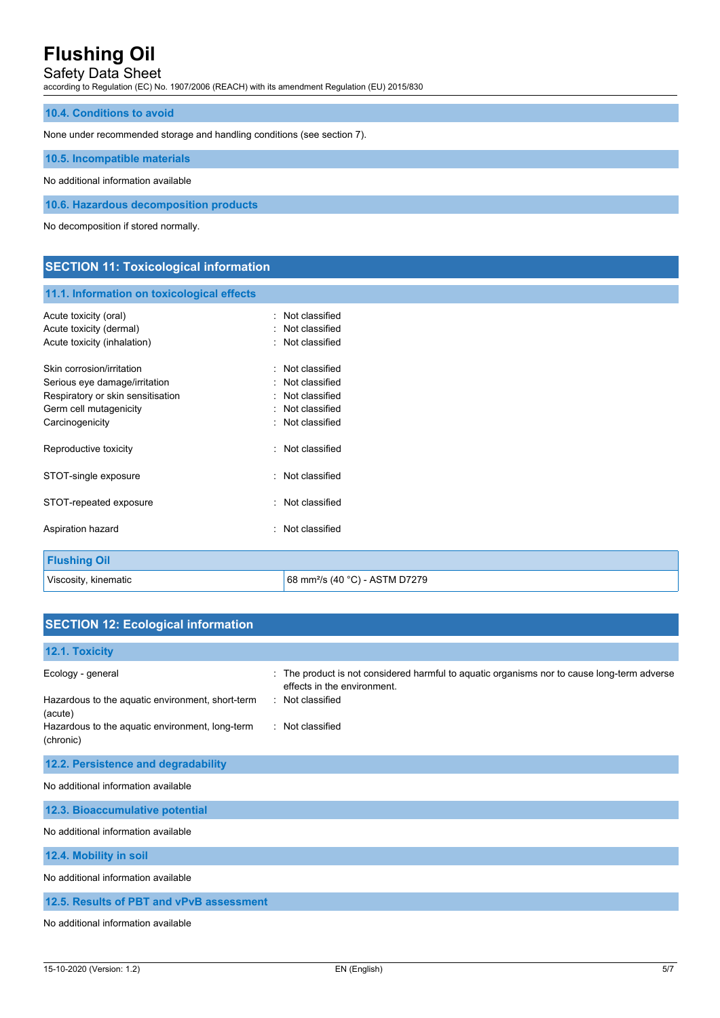Safety Data Sheet

according to Regulation (EC) No. 1907/2006 (REACH) with its amendment Regulation (EU) 2015/830

#### **10.4. Conditions to avoid**

None under recommended storage and handling conditions (see section 7).

**10.5. Incompatible materials**

No additional information available

**10.6. Hazardous decomposition products**

No decomposition if stored normally.

# **SECTION 11: Toxicological information**

#### **11.1. Information on toxicological effects**

| Acute toxicity (oral)<br>Acute toxicity (dermal)<br>Acute toxicity (inhalation)                                                              | ٠      | Not classified<br>Not classified<br>: Not classified                                   |
|----------------------------------------------------------------------------------------------------------------------------------------------|--------|----------------------------------------------------------------------------------------|
| Skin corrosion/irritation<br>Serious eye damage/irritation<br>Respiratory or skin sensitisation<br>Germ cell mutagenicity<br>Carcinogenicity |        | Not classified<br>Not classified<br>Not classified<br>Not classified<br>Not classified |
| Reproductive toxicity                                                                                                                        | $\sim$ | Not classified                                                                         |
| STOT-single exposure                                                                                                                         |        | Not classified                                                                         |
| STOT-repeated exposure                                                                                                                       |        | Not classified                                                                         |
| Aspiration hazard                                                                                                                            |        | Not classified                                                                         |
| <b>Flushing Oil</b>                                                                                                                          |        |                                                                                        |

#### Viscosity, kinematic **68 mm<sup>2</sup>/s (40 °C)** - ASTM D7279

| <b>SECTION 12: Ecological information</b>                                        |                                                                                                                                                |
|----------------------------------------------------------------------------------|------------------------------------------------------------------------------------------------------------------------------------------------|
| 12.1. Toxicity                                                                   |                                                                                                                                                |
| Ecology - general<br>Hazardous to the aquatic environment, short-term<br>(acute) | : The product is not considered harmful to aquatic organisms nor to cause long-term adverse<br>effects in the environment.<br>: Not classified |
| Hazardous to the aquatic environment, long-term<br>(chronic)                     | : Not classified                                                                                                                               |
| 12.2. Persistence and degradability                                              |                                                                                                                                                |
| No additional information available                                              |                                                                                                                                                |
| 12.3. Bioaccumulative potential                                                  |                                                                                                                                                |
| No additional information available                                              |                                                                                                                                                |
| 12.4. Mobility in soil                                                           |                                                                                                                                                |
| No additional information available                                              |                                                                                                                                                |
| 12.5. Results of PBT and vPvB assessment                                         |                                                                                                                                                |

No additional information available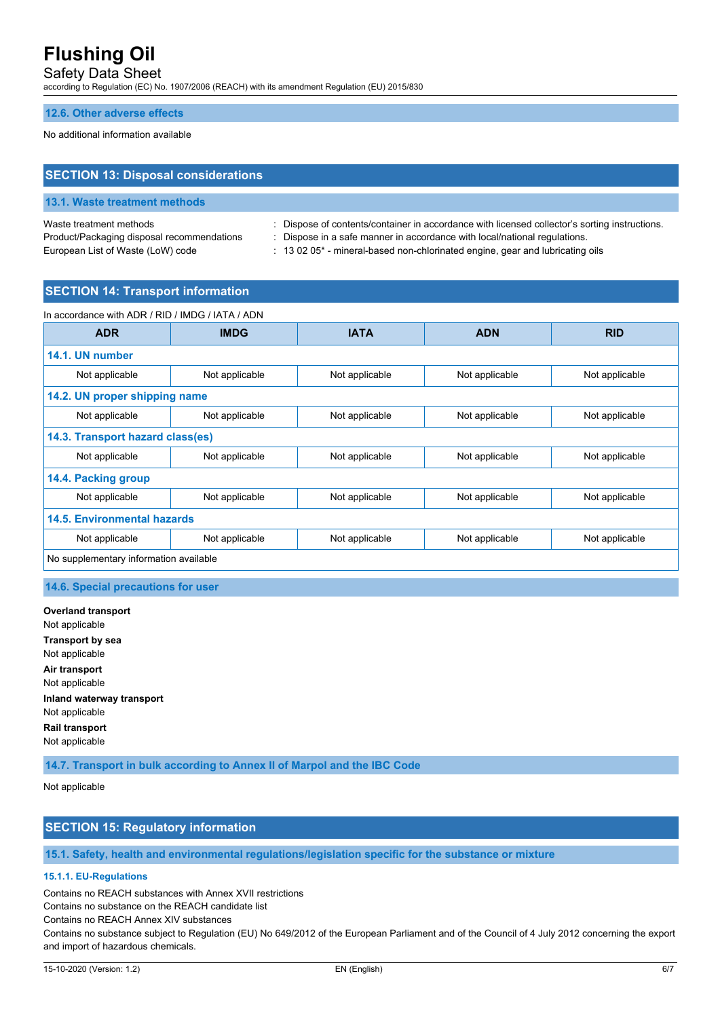Safety Data Sheet

according to Regulation (EC) No. 1907/2006 (REACH) with its amendment Regulation (EU) 2015/830

#### **12.6. Other adverse effects**

No additional information available

## **SECTION 13: Disposal considerations**

#### **13.1. Waste treatment methods**

Product/Packaging disposal recommendations : Dispose in a safe manner in accordance with local/national regulations.

Waste treatment methods : Dispose of contents/container in accordance with licensed collector's sorting instructions.

European List of Waste (LoW) code : 13 02 05<sup>\*</sup> - mineral-based non-chlorinated engine, gear and lubricating oils

## **SECTION 14: Transport information**

| In accordance with ADR / RID / IMDG / IATA / ADN |                |                |                |                |
|--------------------------------------------------|----------------|----------------|----------------|----------------|
| <b>ADR</b>                                       | <b>IMDG</b>    | <b>IATA</b>    | <b>ADN</b>     | <b>RID</b>     |
| 14.1. UN number                                  |                |                |                |                |
| Not applicable                                   | Not applicable | Not applicable | Not applicable | Not applicable |
| 14.2. UN proper shipping name                    |                |                |                |                |
| Not applicable                                   | Not applicable | Not applicable | Not applicable | Not applicable |
| 14.3. Transport hazard class(es)                 |                |                |                |                |
| Not applicable                                   | Not applicable | Not applicable | Not applicable | Not applicable |
| 14.4. Packing group                              |                |                |                |                |
| Not applicable                                   | Not applicable | Not applicable | Not applicable | Not applicable |
| <b>14.5. Environmental hazards</b>               |                |                |                |                |
| Not applicable                                   | Not applicable | Not applicable | Not applicable | Not applicable |
| No supplementary information available           |                |                |                |                |

#### **14.6. Special precautions for user**

**Overland transport** Not applicable **Transport by sea** Not applicable **Air transport** Not applicable **Inland waterway transport** Not applicable **Rail transport** Not applicable

**14.7. Transport in bulk according to Annex II of Marpol and the IBC Code**

Not applicable

## **SECTION 15: Regulatory information**

## **15.1. Safety, health and environmental regulations/legislation specific for the substance or mixture**

## **15.1.1. EU-Regulations**

Contains no REACH substances with Annex XVII restrictions

Contains no substance on the REACH candidate list

Contains no REACH Annex XIV substances

Contains no substance subject to Regulation (EU) No 649/2012 of the European Parliament and of the Council of 4 July 2012 concerning the export and import of hazardous chemicals.